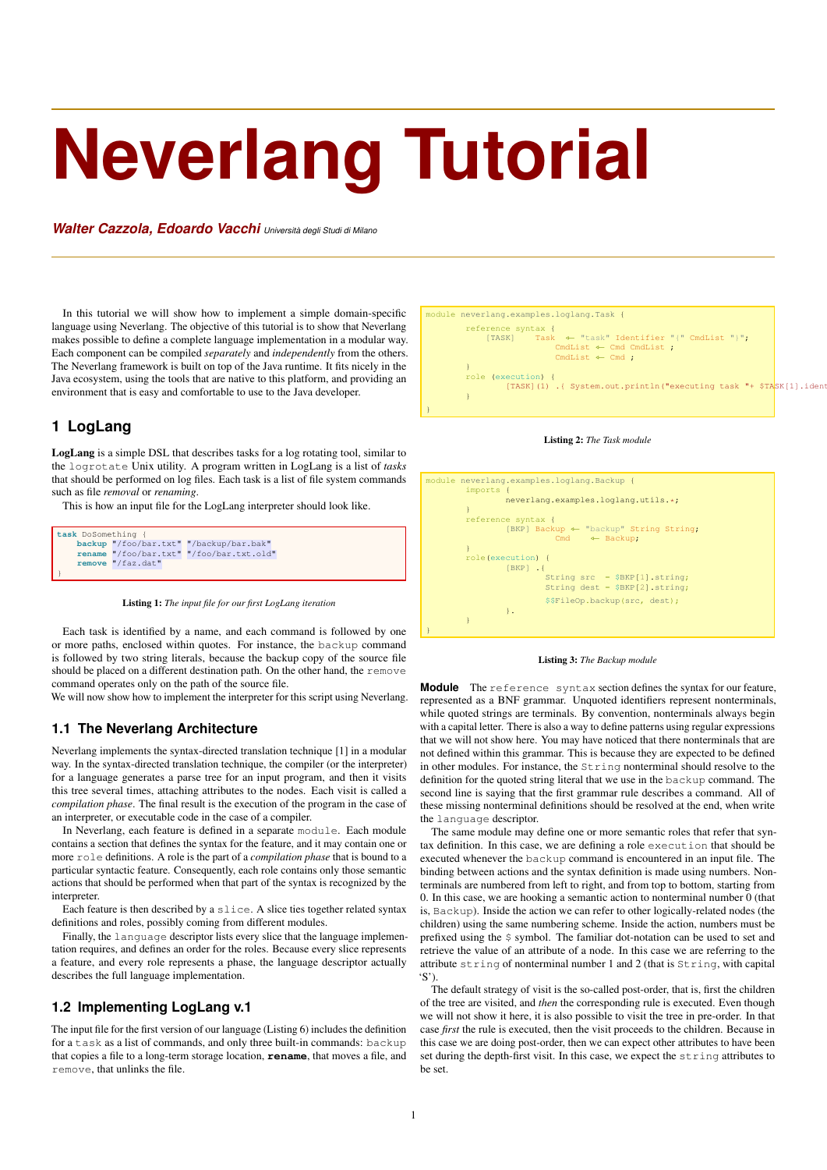# **Neverlang Tutorial**

*Walter Cazzola, Edoardo Vacchi Università degli Studi di Milano*

In this tutorial we will show how to implement a simple domain-specific language using Neverlang. The objective of this tutorial is to show that Neverlang makes possible to define a complete language implementation in a modular way. Each component can be compiled *separately* and *independently* from the others. The Neverlang framework is built on top of the Java runtime. It fits nicely in the Java ecosystem, using the tools that are native to this platform, and providing an environment that is easy and comfortable to use to the Java developer.

# **1 LogLang**

}

LogLang is a simple DSL that describes tasks for a log rotating tool, similar to the logrotate Unix utility. A program written in LogLang is a list of *tasks* that should be performed on log files. Each task is a list of file system commands such as file *removal* or *renaming*.

This is how an input file for the LogLang interpreter should look like.

**task** DoSomething { **backup** "/foo/bar.txt" "/backup/bar.bak" **rename** "/foo/bar.txt" "/foo/bar.txt.old" **remove** "/faz.dat"

Listing 1: *The input file for our first LogLang iteration*

Each task is identified by a name, and each command is followed by one or more paths, enclosed within quotes. For instance, the backup command is followed by two string literals, because the backup copy of the source file should be placed on a different destination path. On the other hand, the remove command operates only on the path of the source file.

We will now show how to implement the interpreter for this script using Neverlang.

## **1.1 The Neverlang Architecture**

Neverlang implements the syntax-directed translation technique [1] in a modular way. In the syntax-directed translation technique, the compiler (or the interpreter) for a language generates a parse tree for an input program, and then it visits this tree several times, attaching attributes to the nodes. Each visit is called a *compilation phase*. The final result is the execution of the program in the case of an interpreter, or executable code in the case of a compiler.

In Neverlang, each feature is defined in a separate module. Each module contains a section that defines the syntax for the feature, and it may contain one or more role definitions. A role is the part of a *compilation phase* that is bound to a particular syntactic feature. Consequently, each role contains only those semantic actions that should be performed when that part of the syntax is recognized by the interpreter.

Each feature is then described by a slice. A slice ties together related syntax definitions and roles, possibly coming from different modules.

Finally, the language descriptor lists every slice that the language implementation requires, and defines an order for the roles. Because every slice represents a feature, and every role represents a phase, the language descriptor actually describes the full language implementation.

## **1.2 Implementing LogLang v.1**

The input file for the first version of our language (Listing 6) includes the definition for a task as a list of commands, and only three built-in commands: backup that copies a file to a long-term storage location, **rename**, that moves a file, and remove, that unlinks the file.



#### Listing 2: *The Task module*





**Module** The reference syntax section defines the syntax for our feature, represented as a BNF grammar. Unquoted identifiers represent nonterminals, while quoted strings are terminals. By convention, nonterminals always begin with a capital letter. There is also a way to define patterns using regular expressions that we will not show here. You may have noticed that there nonterminals that are not defined within this grammar. This is because they are expected to be defined in other modules. For instance, the String nonterminal should resolve to the definition for the quoted string literal that we use in the backup command. The second line is saying that the first grammar rule describes a command. All of these missing nonterminal definitions should be resolved at the end, when write the language descriptor.

The same module may define one or more semantic roles that refer that syntax definition. In this case, we are defining a role execution that should be executed whenever the backup command is encountered in an input file. The binding between actions and the syntax definition is made using numbers. Nonterminals are numbered from left to right, and from top to bottom, starting from 0. In this case, we are hooking a semantic action to nonterminal number 0 (that is, Backup). Inside the action we can refer to other logically-related nodes (the children) using the same numbering scheme. Inside the action, numbers must be prefixed using the \$ symbol. The familiar dot-notation can be used to set and retrieve the value of an attribute of a node. In this case we are referring to the attribute string of nonterminal number 1 and 2 (that is String, with capital 'S').

The default strategy of visit is the so-called post-order, that is, first the children of the tree are visited, and *then* the corresponding rule is executed. Even though we will not show it here, it is also possible to visit the tree in pre-order. In that case *first* the rule is executed, then the visit proceeds to the children. Because in this case we are doing post-order, then we can expect other attributes to have been set during the depth-first visit. In this case, we expect the string attributes to be set.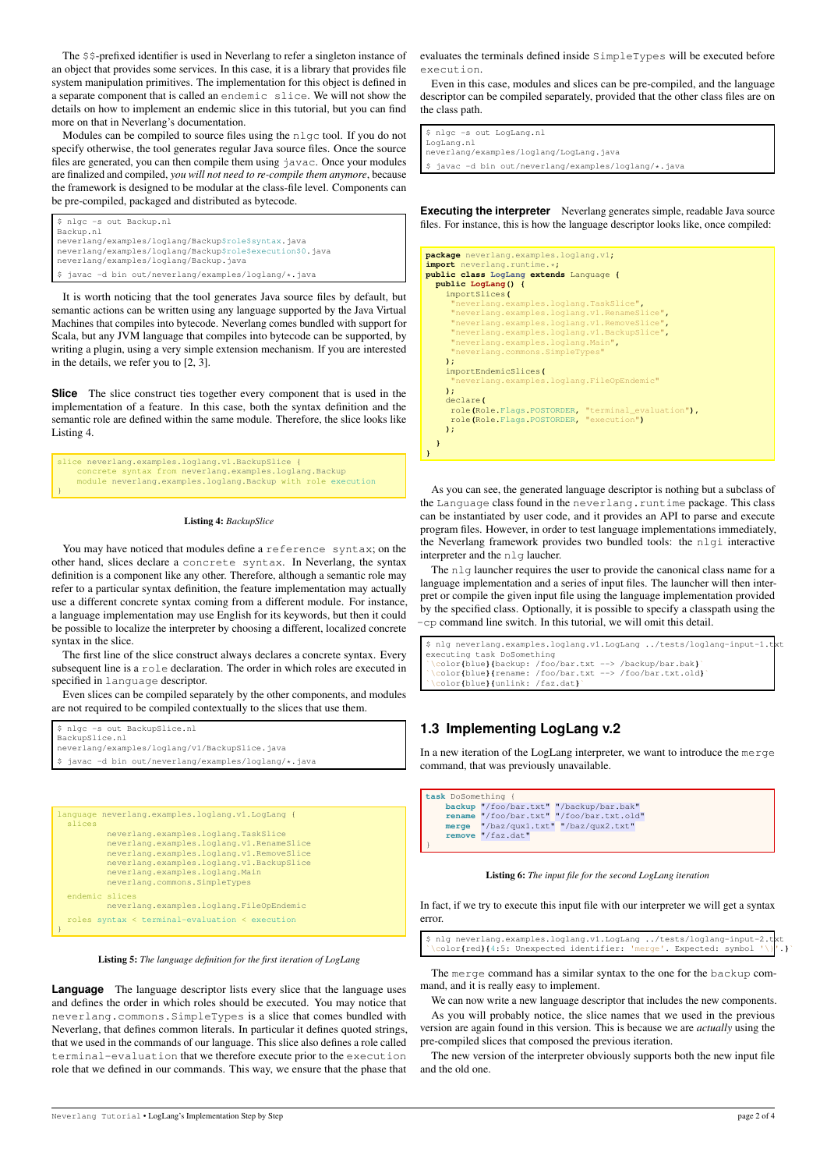The \$\$-prefixed identifier is used in Neverlang to refer a singleton instance of an object that provides some services. In this case, it is a library that provides file system manipulation primitives. The implementation for this object is defined in a separate component that is called an endemic slice. We will not show the details on how to implement an endemic slice in this tutorial, but you can find more on that in Neverlang's documentation.

Modules can be compiled to source files using the nlgc tool. If you do not specify otherwise, the tool generates regular Java source files. Once the source files are generated, you can then compile them using javac. Once your modules are finalized and compiled, *you will not need to re-compile them anymore*, because the framework is designed to be modular at the class-file level. Components can be pre-compiled, packaged and distributed as bytecode.

\$ nlgc -s out Backup.nl Backup.nl neverlang/examples/loglang/Backup\$role\$syntax.java neverlang/examples/loglang/Backup\$role\$execution\$0.java neverlang/examples/loglang/Backup.java \$ javac -d bin out/neverlang/examples/loglang/\*.java

It is worth noticing that the tool generates Java source files by default, but semantic actions can be written using any language supported by the Java Virtual Machines that compiles into bytecode. Neverlang comes bundled with support for Scala, but any JVM language that compiles into bytecode can be supported, by writing a plugin, using a very simple extension mechanism. If you are interested in the details, we refer you to [2, 3].

**Slice** The slice construct ties together every component that is used in the implementation of a feature. In this case, both the syntax definition and the semantic role are defined within the same module. Therefore, the slice looks like Listing 4.

```
slice neverlang.examples.loglang.v1.BackupSlice {
concrete syntax from neverlang.examples.loglang.Backup
     module neverlang.examples.loglang.Backup with role execution
}
```
#### Listing 4: *BackupSlice*

You may have noticed that modules define a reference syntax; on the other hand, slices declare a concrete syntax. In Neverlang, the syntax definition is a component like any other. Therefore, although a semantic role may refer to a particular syntax definition, the feature implementation may actually use a different concrete syntax coming from a different module. For instance, a language implementation may use English for its keywords, but then it could be possible to localize the interpreter by choosing a different, localized concrete syntax in the slice.

The first line of the slice construct always declares a concrete syntax. Every subsequent line is a role declaration. The order in which roles are executed in specified in language descriptor.

Even slices can be compiled separately by the other components, and modules are not required to be compiled contextually to the slices that use them.

```
$ nlgc -s out BackupSlice.nl
BackupSlice.nl
neverlang/examples/loglang/v1/BackupSlice.java
  javac -d bin out/neverlang/examples/loglang/*.java
```

```
language neverlang.examples.loglang.v1.LogLang {
 slices
          neverlang.examples.loglang.TaskSlice
          neverlang.examples.loglang.v1.RenameSlice
          neverlang.examples.loglang.v1.RemoveSlice
         neverlang.examples.loglang.v1.BackupSlice
          neverlang.examples.loglang.Main
         neverlang.commons.SimpleTypes
  endemic slices
         neverlang.examples.loglang.FileOpEndemic
 roles syntax < terminal-evaluation < execution
}
```
Listing 5: *The language definition for the first iteration of LogLang*

**Language** The language descriptor lists every slice that the language uses and defines the order in which roles should be executed. You may notice that neverlang.commons.SimpleTypes is a slice that comes bundled with Neverlang, that defines common literals. In particular it defines quoted strings, that we used in the commands of our language. This slice also defines a role called terminal-evaluation that we therefore execute prior to the execution role that we defined in our commands. This way, we ensure that the phase that evaluates the terminals defined inside SimpleTypes will be executed before execution.

Even in this case, modules and slices can be pre-compiled, and the language descriptor can be compiled separately, provided that the other class files are on the class path.

```
$ nlgc -s out LogLang.nl
LogLang.nl
neverlang/examples/loglang/LogLang.java
$ javac -d bin out/neverlang/examples/loglang/*.java
```
**Executing the interpreter** Neverlang generates simple, readable Java source files. For instance, this is how the language descriptor looks like, once compiled:

```
package neverlang.examples.loglang.v1;
\frac{1}{2} import neverlang.runti
public class LogLang extends Language {
   public LogLang() {
importSlices(
             "neverlang.examples.loglang.TaskSlice",
        "neverlang.examples.loglang.v1.RenameSlice",
"neverlang.examples.loglang.v1.RemoveSlice",
        "neverlang.examples.loglang.v1.BackupSlice",
"neverlang.examples.loglang.Main",
"neverlang.commons.SimpleTypes"
       );
importEndemicSlices(
                                       .loglang.FileOpEndemic'
      );
       declare(
        role(Role.Flags.POSTORDER, "terminal_evaluation"),
role(Role.Flags.POSTORDER, "execution")
      );
   }
}
```
As you can see, the generated language descriptor is nothing but a subclass of the Language class found in the neverlang.runtime package. This class can be instantiated by user code, and it provides an API to parse and execute program files. However, in order to test language implementations immediately, the Neverlang framework provides two bundled tools: the nlgi interactive interpreter and the nlg laucher.

The nlg launcher requires the user to provide the canonical class name for a language implementation and a series of input files. The launcher will then interpret or compile the given input file using the language implementation provided by the specified class. Optionally, it is possible to specify a classpath using the -cp command line switch. In this tutorial, we will omit this detail.

```
$ nlg neverlang.examples.loglang.v1.LogLang ../tests/loglang-input-1.t
executing task DoSomething
`\color{blue}{backup: /foo/bar.txt --> /backup/bar.bak}`
`\color{blue}{rename: /foo/bar.txt --> /foo/bar.txt.old}`
`\color{blue}{unlink: /faz.dat}`
```
# **1.3 Implementing LogLang v.2**

In a new iteration of the LogLang interpreter, we want to introduce the merge command, that was previously unavailable.

```
task DoSomething {
           backup "/foo/bar.txt" "/backup/bar.bak"
rename "/foo/bar.txt" "/foo/bar.txt.old"
merge "/baz/qux1.txt" "/baz/qux2.txt"
remove "/faz.dat"
}
```
Listing 6: *The input file for the second LogLang iteration*

In fact, if we try to execute this input file with our interpreter we will get a syntax error.

\$ nlg neverlang.examples.loglang.v1.LogLang ../tests/loglang-input-2.txt `\color**{**red**}{**4:5: Unexpected identifier: 'merge'. Expected: symbol '\}'.**}**`

The merge command has a similar syntax to the one for the backup command, and it is really easy to implement.

We can now write a new language descriptor that includes the new components. As you will probably notice, the slice names that we used in the previous version are again found in this version. This is because we are *actually* using the pre-compiled slices that composed the previous iteration.

The new version of the interpreter obviously supports both the new input file and the old one.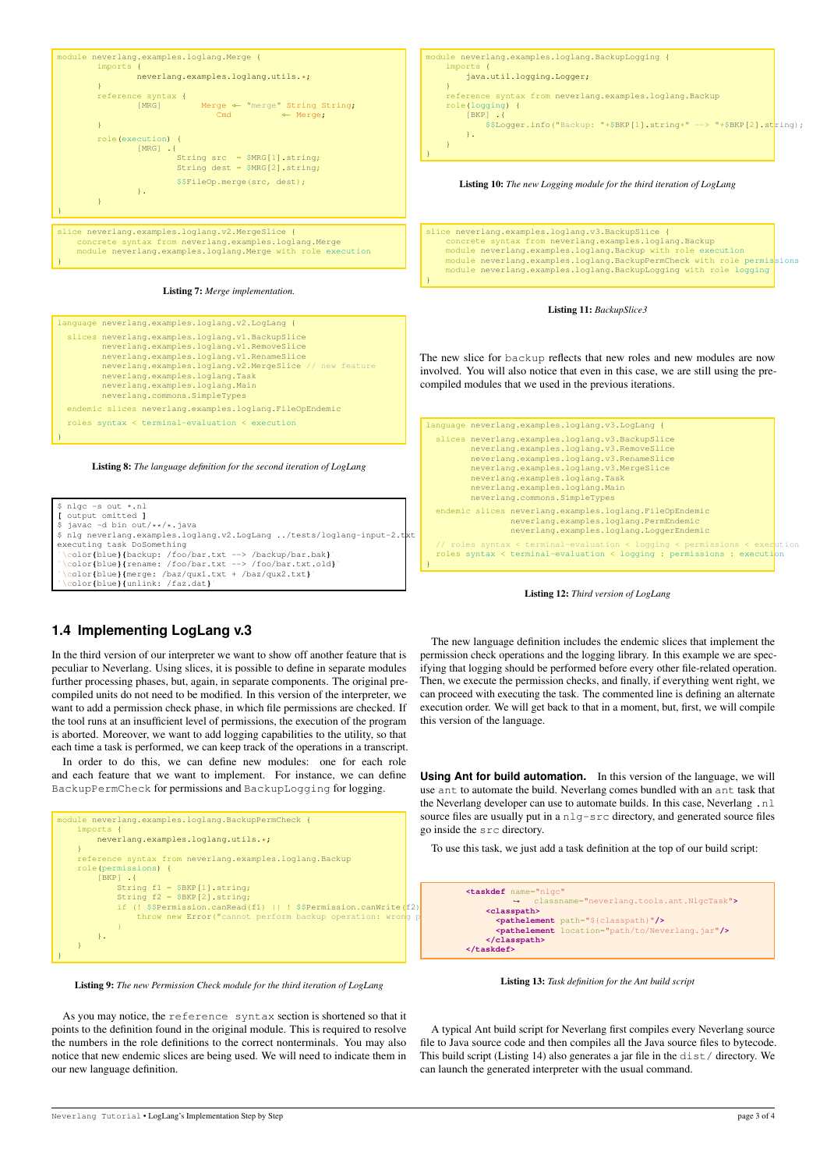

Listing 7: *Merge implementation.*

```
language neverlang.examples.loglang.v2.LogLang {
 slices neverlang.examples.loglang.v1.BackupSlice
          neverlang.examples.loglang.v1.RemoveSlice
          neverlang.examples.loglang.v1.RenameSlice
neverlang.examples.loglang.v2.MergeSlice // new feature
         neverlang.examples.loglang.Task
         neverlang.examples.loglang.Main
         neverlang.commons.SimpleTypes
  endemic slices neverlang.examples.loglang.FileOpEndemic
 roles syntax < terminal-evaluation < execution
}
```




## compiled modules that we used in the previous iterations. language neverlang.examples.loglang.v3.LogLang { slices neverlang.examples.loglang.v3.BackupSlice neverlang.examples.loglang.v3.RemoveSlice neverlang.examples.loglang.v3.RenameSlice neverlang.examples.loglang.v3.MergeSlice neverlang.examples.loglang.Task neverlang.examples.loglang.Main neverlang.commons.SimpleTypes endemic slices neverlang.examples.loglang.FileOpEndemic neverlang.examples.loglang.PermEndemic neverlang.examples.loglang.LoggerEndemic



// roles syntax < terminal-evaluation < logging < permissions < execution roles syntax < terminal-evaluation < logging : permissions : execution

Listing 11: *BackupSlice3*

The new slice for backup reflects that new roles and new modules are now involved. You will also notice that even in this case, we are still using the pre-

## **1.4 Implementing LogLang v.3**

In the third version of our interpreter we want to show off another feature that is peculiar to Neverlang. Using slices, it is possible to define in separate modules further processing phases, but, again, in separate components. The original precompiled units do not need to be modified. In this version of the interpreter, we want to add a permission check phase, in which file permissions are checked. If the tool runs at an insufficient level of permissions, the execution of the program is aborted. Moreover, we want to add logging capabilities to the utility, so that each time a task is performed, we can keep track of the operations in a transcript.

In order to do this, we can define new modules: one for each role and each feature that we want to implement. For instance, we can define BackupPermCheck for permissions and BackupLogging for logging.



Listing 9: *The new Permission Check module for the third iteration of LogLang*

As you may notice, the reference syntax section is shortened so that it points to the definition found in the original module. This is required to resolve the numbers in the role definitions to the correct nonterminals. You may also notice that new endemic slices are being used. We will need to indicate them in our new language definition.

The new language definition includes the endemic slices that implement the permission check operations and the logging library. In this example we are specifying that logging should be performed before every other file-related operation. Then, we execute the permission checks, and finally, if everything went right, we can proceed with executing the task. The commented line is defining an alternate execution order. We will get back to that in a moment, but, first, we will compile this version of the language.

**Using Ant for build automation.** In this version of the language, we will use ant to automate the build. Neverlang comes bundled with an ant task that the Neverlang developer can use to automate builds. In this case, Neverlang . nl source files are usually put in a  $nlg-src$  directory, and generated source files go inside the src directory.

To use this task, we just add a task definition at the top of our build script:



Listing 13: *Task definition for the Ant build script*

A typical Ant build script for Neverlang first compiles every Neverlang source file to Java source code and then compiles all the Java source files to bytecode. This build script (Listing 14) also generates a jar file in the dist/ directory. We can launch the generated interpreter with the usual command.